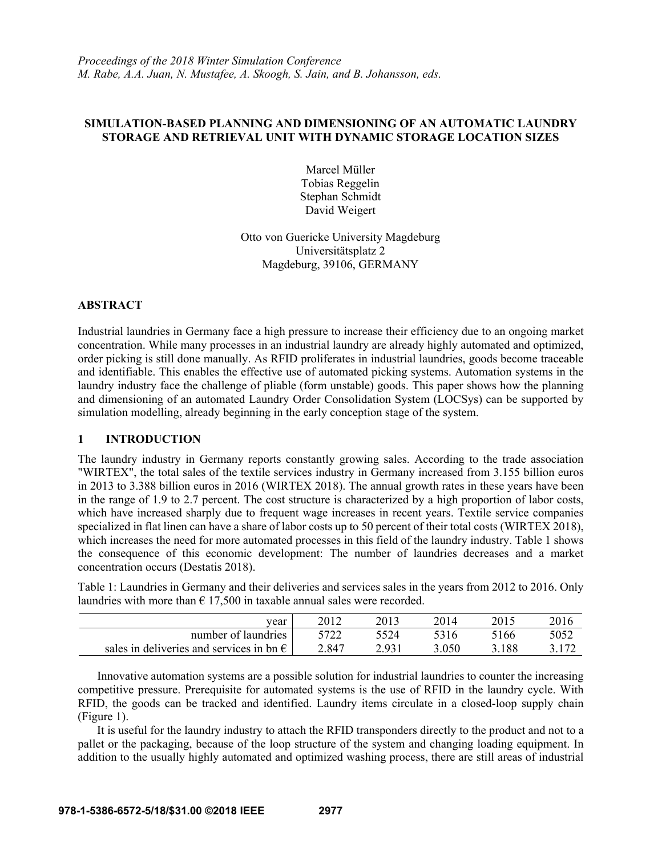# **SIMULATION-BASED PLANNING AND DIMENSIONING OF AN AUTOMATIC LAUNDRY STORAGE AND RETRIEVAL UNIT WITH DYNAMIC STORAGE LOCATION SIZES**

Marcel Müller Tobias Reggelin Stephan Schmidt David Weigert

Otto von Guericke University Magdeburg Universitätsplatz 2 Magdeburg, 39106, GERMANY

## **ABSTRACT**

Industrial laundries in Germany face a high pressure to increase their efficiency due to an ongoing market concentration. While many processes in an industrial laundry are already highly automated and optimized, order picking is still done manually. As RFID proliferates in industrial laundries, goods become traceable and identifiable. This enables the effective use of automated picking systems. Automation systems in the laundry industry face the challenge of pliable (form unstable) goods. This paper shows how the planning and dimensioning of an automated Laundry Order Consolidation System (LOCSys) can be supported by simulation modelling, already beginning in the early conception stage of the system.

# **1 INTRODUCTION**

The laundry industry in Germany reports constantly growing sales. According to the trade association "WIRTEX", the total sales of the textile services industry in Germany increased from 3.155 billion euros in 2013 to 3.388 billion euros in 2016 (WIRTEX 2018). The annual growth rates in these years have been in the range of 1.9 to 2.7 percent. The cost structure is characterized by a high proportion of labor costs, which have increased sharply due to frequent wage increases in recent years. Textile service companies specialized in flat linen can have a share of labor costs up to 50 percent of their total costs (WIRTEX 2018), which increases the need for more automated processes in this field of the laundry industry. Table 1 shows the consequence of this economic development: The number of laundries decreases and a market concentration occurs (Destatis 2018).

Table 1: Laundries in Germany and their deliveries and services sales in the years from 2012 to 2016. Only laundries with more than  $\epsilon$  17,500 in taxable annual sales were recorded.

| vear                                              | 2012  | 2013 | 2014 |      | 2016    |
|---------------------------------------------------|-------|------|------|------|---------|
| number of laundries                               | 5722  | 5524 | 5316 | 5166 | 5052    |
| sales in deliveries and services in bn $\epsilon$ | 2.847 | 202  | .050 | .188 | 3 1 7 2 |

 Innovative automation systems are a possible solution for industrial laundries to counter the increasing competitive pressure. Prerequisite for automated systems is the use of RFID in the laundry cycle. With RFID, the goods can be tracked and identified. Laundry items circulate in a closed-loop supply chain (Figure 1).

It is useful for the laundry industry to attach the RFID transponders directly to the product and not to a pallet or the packaging, because of the loop structure of the system and changing loading equipment. In addition to the usually highly automated and optimized washing process, there are still areas of industrial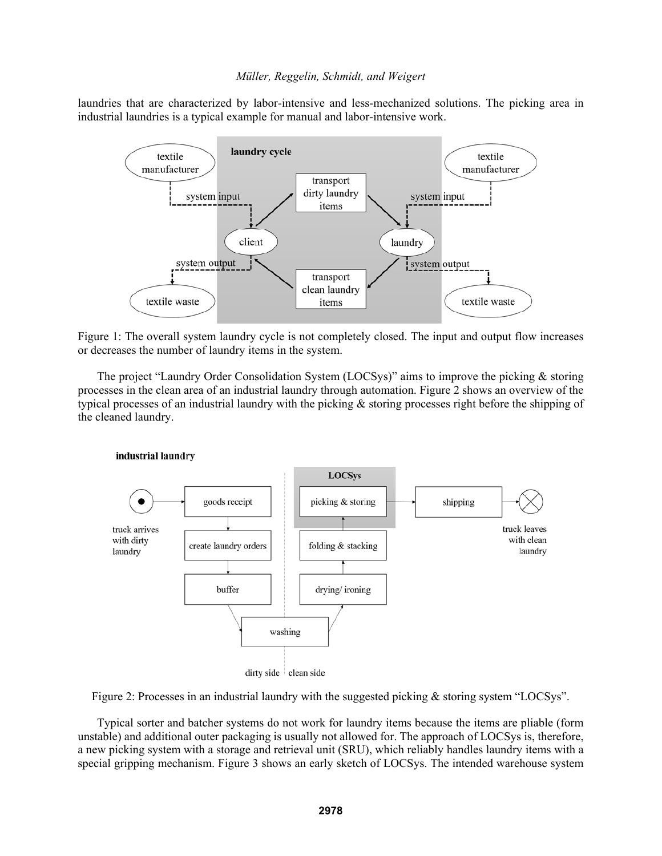laundries that are characterized by labor-intensive and less-mechanized solutions. The picking area in industrial laundries is a typical example for manual and labor-intensive work.



Figure 1: The overall system laundry cycle is not completely closed. The input and output flow increases or decreases the number of laundry items in the system.

The project "Laundry Order Consolidation System (LOCSys)" aims to improve the picking & storing processes in the clean area of an industrial laundry through automation. Figure 2 shows an overview of the typical processes of an industrial laundry with the picking & storing processes right before the shipping of the cleaned laundry.



industrial laundry

Figure 2: Processes in an industrial laundry with the suggested picking & storing system "LOCSys".

Typical sorter and batcher systems do not work for laundry items because the items are pliable (form unstable) and additional outer packaging is usually not allowed for. The approach of LOCSys is, therefore, a new picking system with a storage and retrieval unit (SRU), which reliably handles laundry items with a special gripping mechanism. Figure 3 shows an early sketch of LOCSys. The intended warehouse system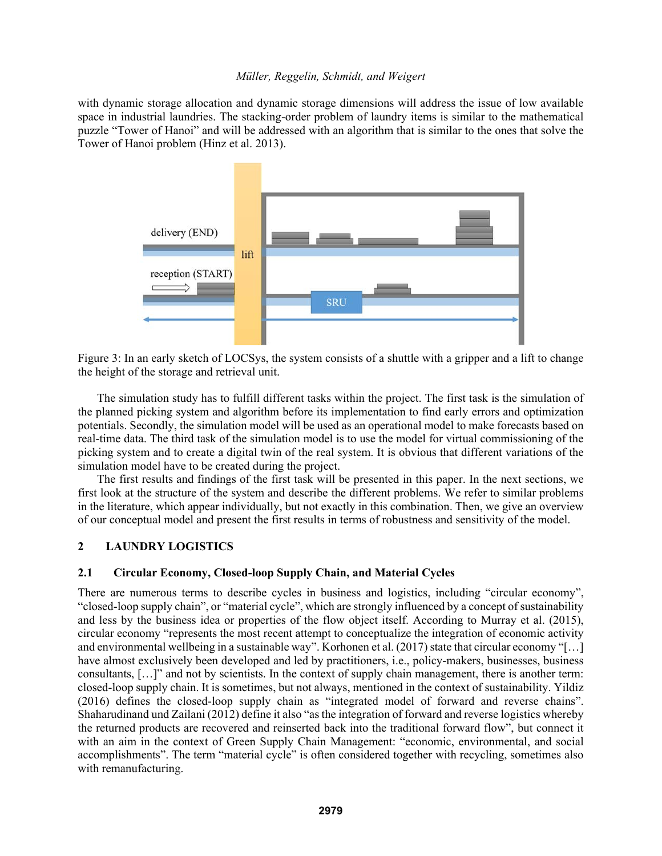with dynamic storage allocation and dynamic storage dimensions will address the issue of low available space in industrial laundries. The stacking-order problem of laundry items is similar to the mathematical puzzle "Tower of Hanoi" and will be addressed with an algorithm that is similar to the ones that solve the Tower of Hanoi problem (Hinz et al. 2013).



Figure 3: In an early sketch of LOCSys, the system consists of a shuttle with a gripper and a lift to change the height of the storage and retrieval unit.

The simulation study has to fulfill different tasks within the project. The first task is the simulation of the planned picking system and algorithm before its implementation to find early errors and optimization potentials. Secondly, the simulation model will be used as an operational model to make forecasts based on real-time data. The third task of the simulation model is to use the model for virtual commissioning of the picking system and to create a digital twin of the real system. It is obvious that different variations of the simulation model have to be created during the project.

The first results and findings of the first task will be presented in this paper. In the next sections, we first look at the structure of the system and describe the different problems. We refer to similar problems in the literature, which appear individually, but not exactly in this combination. Then, we give an overview of our conceptual model and present the first results in terms of robustness and sensitivity of the model.

# **2 LAUNDRY LOGISTICS**

### **2.1 Circular Economy, Closed-loop Supply Chain, and Material Cycles**

There are numerous terms to describe cycles in business and logistics, including "circular economy", "closed-loop supply chain", or "material cycle", which are strongly influenced by a concept of sustainability and less by the business idea or properties of the flow object itself. According to Murray et al. (2015), circular economy "represents the most recent attempt to conceptualize the integration of economic activity and environmental wellbeing in a sustainable way". Korhonen et al. (2017) state that circular economy "[…] have almost exclusively been developed and led by practitioners, i.e., policy-makers, businesses, business consultants, […]" and not by scientists. In the context of supply chain management, there is another term: closed-loop supply chain. It is sometimes, but not always, mentioned in the context of sustainability. Yildiz (2016) defines the closed-loop supply chain as "integrated model of forward and reverse chains". Shaharudinand und Zailani (2012) define it also "as the integration of forward and reverse logistics whereby the returned products are recovered and reinserted back into the traditional forward flow", but connect it with an aim in the context of Green Supply Chain Management: "economic, environmental, and social accomplishments". The term "material cycle" is often considered together with recycling, sometimes also with remanufacturing.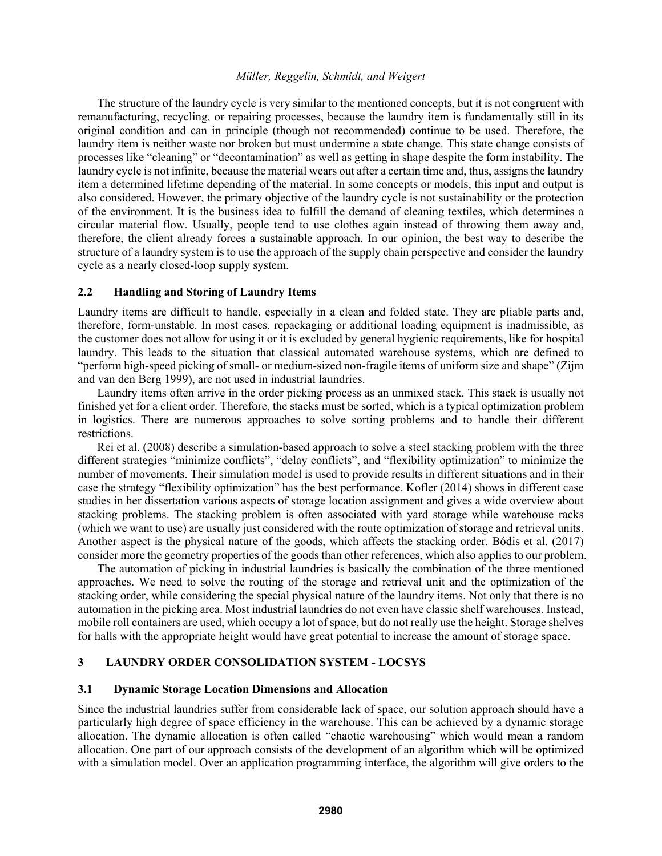The structure of the laundry cycle is very similar to the mentioned concepts, but it is not congruent with remanufacturing, recycling, or repairing processes, because the laundry item is fundamentally still in its original condition and can in principle (though not recommended) continue to be used. Therefore, the laundry item is neither waste nor broken but must undermine a state change. This state change consists of processes like "cleaning" or "decontamination" as well as getting in shape despite the form instability. The laundry cycle is not infinite, because the material wears out after a certain time and, thus, assigns the laundry item a determined lifetime depending of the material. In some concepts or models, this input and output is also considered. However, the primary objective of the laundry cycle is not sustainability or the protection of the environment. It is the business idea to fulfill the demand of cleaning textiles, which determines a circular material flow. Usually, people tend to use clothes again instead of throwing them away and, therefore, the client already forces a sustainable approach. In our opinion, the best way to describe the structure of a laundry system is to use the approach of the supply chain perspective and consider the laundry cycle as a nearly closed-loop supply system.

## **2.2 Handling and Storing of Laundry Items**

Laundry items are difficult to handle, especially in a clean and folded state. They are pliable parts and, therefore, form-unstable. In most cases, repackaging or additional loading equipment is inadmissible, as the customer does not allow for using it or it is excluded by general hygienic requirements, like for hospital laundry. This leads to the situation that classical automated warehouse systems, which are defined to "perform high-speed picking of small- or medium-sized non-fragile items of uniform size and shape" (Zijm and van den Berg 1999), are not used in industrial laundries.

 Laundry items often arrive in the order picking process as an unmixed stack. This stack is usually not finished yet for a client order. Therefore, the stacks must be sorted, which is a typical optimization problem in logistics. There are numerous approaches to solve sorting problems and to handle their different restrictions.

 Rei et al. (2008) describe a simulation-based approach to solve a steel stacking problem with the three different strategies "minimize conflicts", "delay conflicts", and "flexibility optimization" to minimize the number of movements. Their simulation model is used to provide results in different situations and in their case the strategy "flexibility optimization" has the best performance. Kofler (2014) shows in different case studies in her dissertation various aspects of storage location assignment and gives a wide overview about stacking problems. The stacking problem is often associated with yard storage while warehouse racks (which we want to use) are usually just considered with the route optimization of storage and retrieval units. Another aspect is the physical nature of the goods, which affects the stacking order. Bódis et al. (2017) consider more the geometry properties of the goods than other references, which also applies to our problem.

The automation of picking in industrial laundries is basically the combination of the three mentioned approaches. We need to solve the routing of the storage and retrieval unit and the optimization of the stacking order, while considering the special physical nature of the laundry items. Not only that there is no automation in the picking area. Most industrial laundries do not even have classic shelf warehouses. Instead, mobile roll containers are used, which occupy a lot of space, but do not really use the height. Storage shelves for halls with the appropriate height would have great potential to increase the amount of storage space.

## **3 LAUNDRY ORDER CONSOLIDATION SYSTEM - LOCSYS**

## **3.1 Dynamic Storage Location Dimensions and Allocation**

Since the industrial laundries suffer from considerable lack of space, our solution approach should have a particularly high degree of space efficiency in the warehouse. This can be achieved by a dynamic storage allocation. The dynamic allocation is often called "chaotic warehousing" which would mean a random allocation. One part of our approach consists of the development of an algorithm which will be optimized with a simulation model. Over an application programming interface, the algorithm will give orders to the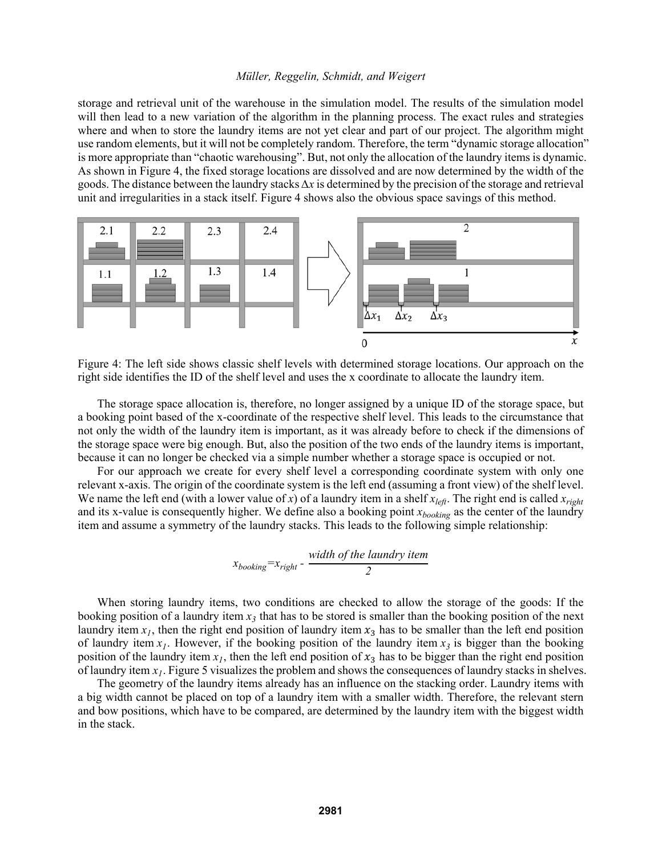storage and retrieval unit of the warehouse in the simulation model. The results of the simulation model will then lead to a new variation of the algorithm in the planning process. The exact rules and strategies where and when to store the laundry items are not yet clear and part of our project. The algorithm might use random elements, but it will not be completely random. Therefore, the term "dynamic storage allocation" is more appropriate than "chaotic warehousing". But, not only the allocation of the laundry items is dynamic. As shown in Figure 4, the fixed storage locations are dissolved and are now determined by the width of the goods. The distance between the laundry stacks *∆x* is determined by the precision of the storage and retrieval unit and irregularities in a stack itself. Figure 4 shows also the obvious space savings of this method.



Figure 4: The left side shows classic shelf levels with determined storage locations. Our approach on the right side identifies the ID of the shelf level and uses the x coordinate to allocate the laundry item.

The storage space allocation is, therefore, no longer assigned by a unique ID of the storage space, but a booking point based of the x-coordinate of the respective shelf level. This leads to the circumstance that not only the width of the laundry item is important, as it was already before to check if the dimensions of the storage space were big enough. But, also the position of the two ends of the laundry items is important, because it can no longer be checked via a simple number whether a storage space is occupied or not.

 For our approach we create for every shelf level a corresponding coordinate system with only one relevant x-axis. The origin of the coordinate system is the left end (assuming a front view) of the shelf level. We name the left end (with a lower value of *x*) of a laundry item in a shelf  $x_{left}$ . The right end is called  $x_{right}$ and its x-value is consequently higher. We define also a booking point  $x_{booking}$  as the center of the laundry item and assume a symmetry of the laundry stacks. This leads to the following simple relationship:

$$
x_{\text{booking}} = x_{\text{right}} - \frac{\text{width of the launch item}}{2}
$$

When storing laundry items, two conditions are checked to allow the storage of the goods: If the booking position of a laundry item  $x_3$  that has to be stored is smaller than the booking position of the next laundry item  $x_1$ , then the right end position of laundry item  $x_3$  has to be smaller than the left end position of laundry item  $x_1$ . However, if the booking position of the laundry item  $x_3$  is bigger than the booking position of the laundry item  $x_1$ , then the left end position of  $x_3$  has to be bigger than the right end position of laundry item *x1*. Figure 5 visualizes the problem and shows the consequences of laundry stacks in shelves.

The geometry of the laundry items already has an influence on the stacking order. Laundry items with a big width cannot be placed on top of a laundry item with a smaller width. Therefore, the relevant stern and bow positions, which have to be compared, are determined by the laundry item with the biggest width in the stack.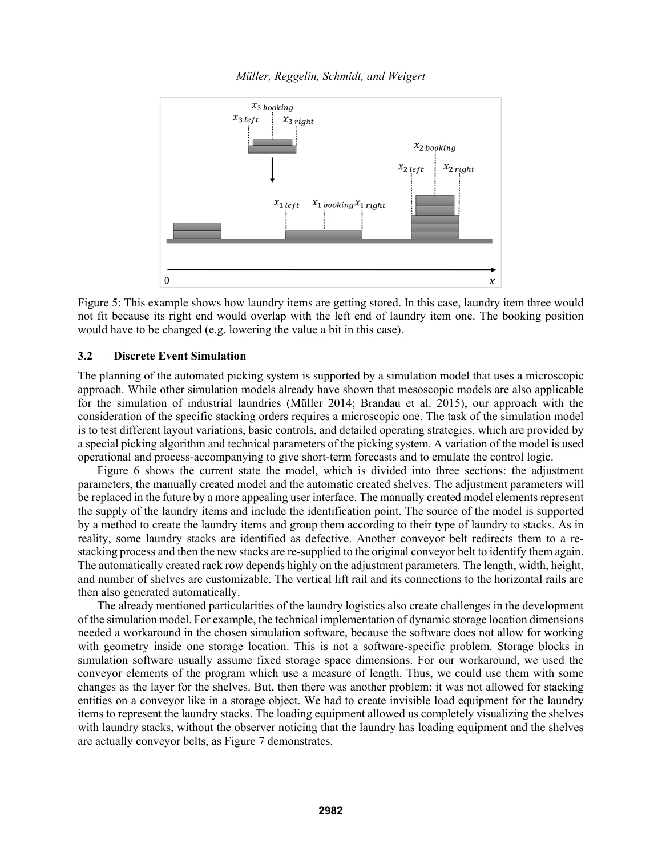

Figure 5: This example shows how laundry items are getting stored. In this case, laundry item three would not fit because its right end would overlap with the left end of laundry item one. The booking position would have to be changed (e.g. lowering the value a bit in this case).

## **3.2 Discrete Event Simulation**

The planning of the automated picking system is supported by a simulation model that uses a microscopic approach. While other simulation models already have shown that mesoscopic models are also applicable for the simulation of industrial laundries (Müller 2014; Brandau et al. 2015), our approach with the consideration of the specific stacking orders requires a microscopic one. The task of the simulation model is to test different layout variations, basic controls, and detailed operating strategies, which are provided by a special picking algorithm and technical parameters of the picking system. A variation of the model is used operational and process-accompanying to give short-term forecasts and to emulate the control logic.

Figure 6 shows the current state the model, which is divided into three sections: the adjustment parameters, the manually created model and the automatic created shelves. The adjustment parameters will be replaced in the future by a more appealing user interface. The manually created model elements represent the supply of the laundry items and include the identification point. The source of the model is supported by a method to create the laundry items and group them according to their type of laundry to stacks. As in reality, some laundry stacks are identified as defective. Another conveyor belt redirects them to a restacking process and then the new stacks are re-supplied to the original conveyor belt to identify them again. The automatically created rack row depends highly on the adjustment parameters. The length, width, height, and number of shelves are customizable. The vertical lift rail and its connections to the horizontal rails are then also generated automatically.

 The already mentioned particularities of the laundry logistics also create challenges in the development of the simulation model. For example, the technical implementation of dynamic storage location dimensions needed a workaround in the chosen simulation software, because the software does not allow for working with geometry inside one storage location. This is not a software-specific problem. Storage blocks in simulation software usually assume fixed storage space dimensions. For our workaround, we used the conveyor elements of the program which use a measure of length. Thus, we could use them with some changes as the layer for the shelves. But, then there was another problem: it was not allowed for stacking entities on a conveyor like in a storage object. We had to create invisible load equipment for the laundry items to represent the laundry stacks. The loading equipment allowed us completely visualizing the shelves with laundry stacks, without the observer noticing that the laundry has loading equipment and the shelves are actually conveyor belts, as Figure 7 demonstrates.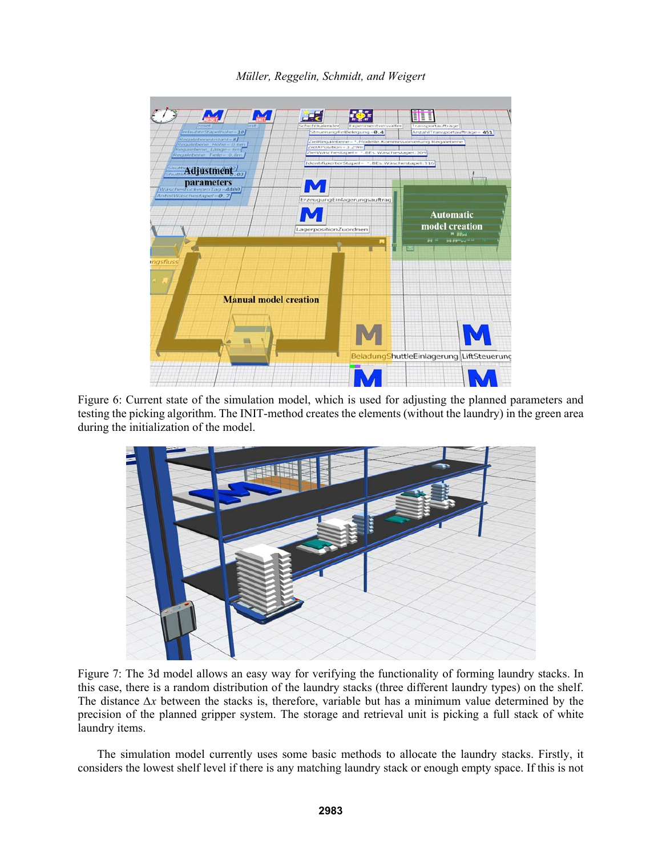

*Müller, Reggelin, Schmidt, and Weigert* 

Figure 6: Current state of the simulation model, which is used for adjusting the planned parameters and testing the picking algorithm. The INIT-method creates the elements (without the laundry) in the green area during the initialization of the model.



Figure 7: The 3d model allows an easy way for verifying the functionality of forming laundry stacks. In this case, there is a random distribution of the laundry stacks (three different laundry types) on the shelf. The distance *∆x* between the stacks is, therefore, variable but has a minimum value determined by the precision of the planned gripper system. The storage and retrieval unit is picking a full stack of white laundry items.

 The simulation model currently uses some basic methods to allocate the laundry stacks. Firstly, it considers the lowest shelf level if there is any matching laundry stack or enough empty space. If this is not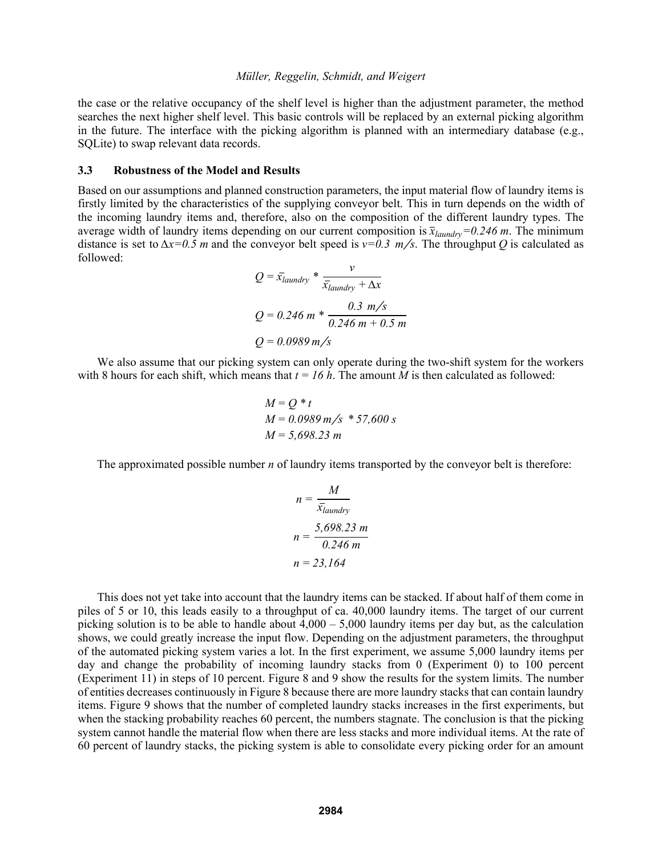the case or the relative occupancy of the shelf level is higher than the adjustment parameter, the method searches the next higher shelf level. This basic controls will be replaced by an external picking algorithm in the future. The interface with the picking algorithm is planned with an intermediary database (e.g., SQLite) to swap relevant data records.

#### **3.3 Robustness of the Model and Results**

Based on our assumptions and planned construction parameters, the input material flow of laundry items is firstly limited by the characteristics of the supplying conveyor belt. This in turn depends on the width of the incoming laundry items and, therefore, also on the composition of the different laundry types. The average width of laundry items depending on our current composition is  $\bar{x}_{\text{la}} = 0.246$  m. The minimum distance is set to  $\Delta x=0.5$  *m* and the conveyor belt speed is *v*=0.3 *m/s*. The throughput *Q* is calculated as followed:

$$
Q = \bar{x}_{la, w}, * \frac{v}{\bar{x}_{la, w}, + \Delta x}
$$
  

$$
Q = 0.246 \, m \cdot \frac{0.3 \, m/s}{0.246 \, m + 0.5 \, m}
$$
  

$$
Q = 0.0989 \, m/s
$$

We also assume that our picking system can only operate during the two-shift system for the workers with 8 hours for each shift, which means that  $t = 16 h$ . The amount *M* is then calculated as followed:

$$
M = Q * t
$$
  

$$
M = 0.0989 \, \text{m/s} \cdot 57,600 \, \text{s}
$$
  

$$
M = 5,698.23 \, \text{m}
$$

The approximated possible number *n* of laundry items transported by the conveyor belt is therefore:

$$
n = \frac{M}{\bar{x}_{laundry}}
$$

$$
n = \frac{5,698.23 \text{ m}}{0.246 \text{ m}}
$$

$$
n = 23,164
$$

 This does not yet take into account that the laundry items can be stacked. If about half of them come in piles of 5 or 10, this leads easily to a throughput of ca. 40,000 laundry items. The target of our current picking solution is to be able to handle about  $4,000 - 5,000$  laundry items per day but, as the calculation shows, we could greatly increase the input flow. Depending on the adjustment parameters, the throughput of the automated picking system varies a lot. In the first experiment, we assume 5,000 laundry items per day and change the probability of incoming laundry stacks from 0 (Experiment 0) to 100 percent (Experiment 11) in steps of 10 percent. Figure 8 and 9 show the results for the system limits. The number of entities decreases continuously in Figure 8 because there are more laundry stacks that can contain laundry items. Figure 9 shows that the number of completed laundry stacks increases in the first experiments, but when the stacking probability reaches 60 percent, the numbers stagnate. The conclusion is that the picking system cannot handle the material flow when there are less stacks and more individual items. At the rate of 60 percent of laundry stacks, the picking system is able to consolidate every picking order for an amount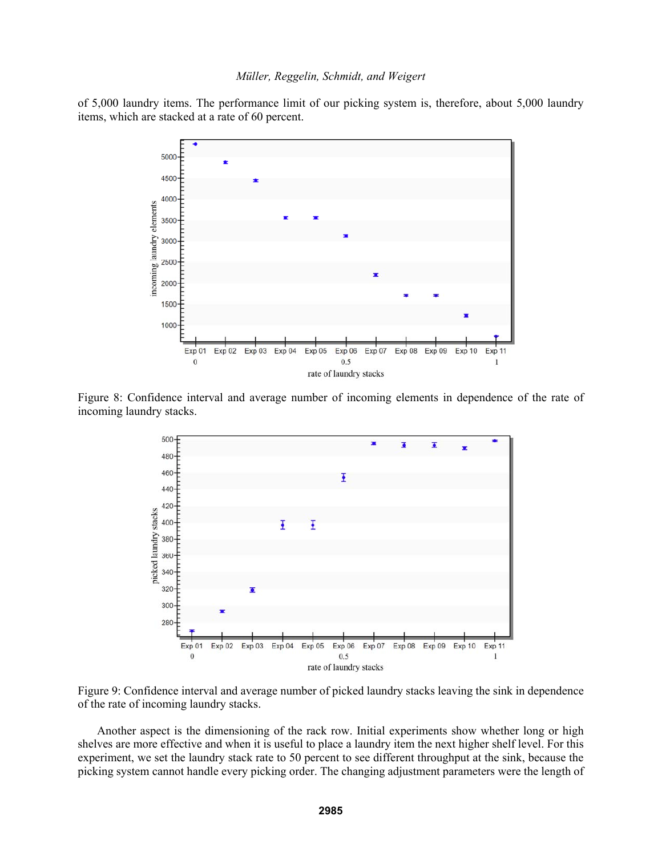of 5,000 laundry items. The performance limit of our picking system is, therefore, about 5,000 laundry items, which are stacked at a rate of 60 percent.



Figure 8: Confidence interval and average number of incoming elements in dependence of the rate of incoming laundry stacks.



Figure 9: Confidence interval and average number of picked laundry stacks leaving the sink in dependence of the rate of incoming laundry stacks.

Another aspect is the dimensioning of the rack row. Initial experiments show whether long or high shelves are more effective and when it is useful to place a laundry item the next higher shelf level. For this experiment, we set the laundry stack rate to 50 percent to see different throughput at the sink, because the picking system cannot handle every picking order. The changing adjustment parameters were the length of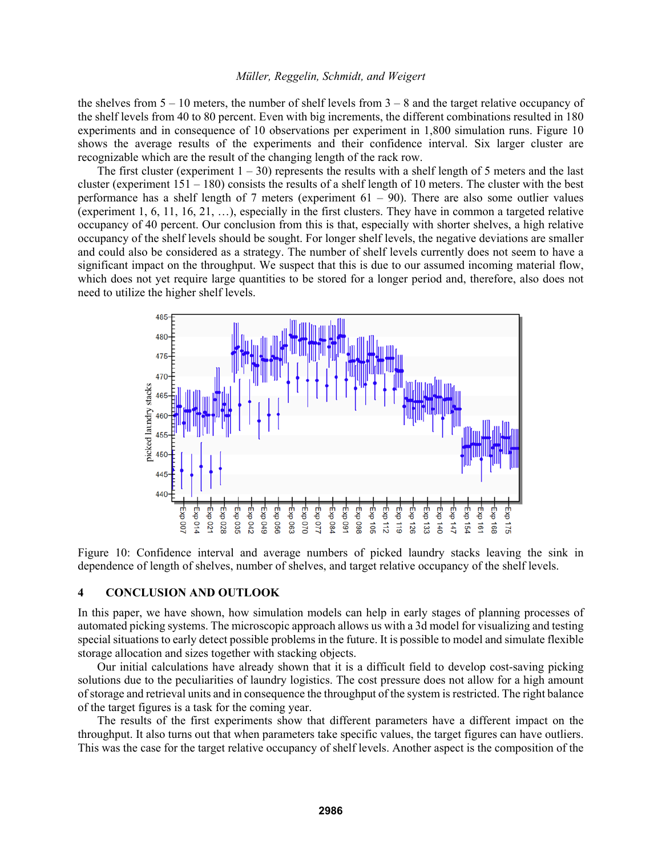the shelves from  $5 - 10$  meters, the number of shelf levels from  $3 - 8$  and the target relative occupancy of the shelf levels from 40 to 80 percent. Even with big increments, the different combinations resulted in 180 experiments and in consequence of 10 observations per experiment in 1,800 simulation runs. Figure 10 shows the average results of the experiments and their confidence interval. Six larger cluster are recognizable which are the result of the changing length of the rack row.

The first cluster (experiment  $1 - 30$ ) represents the results with a shelf length of 5 meters and the last cluster (experiment 151 – 180) consists the results of a shelf length of 10 meters. The cluster with the best performance has a shelf length of 7 meters (experiment  $61 - 90$ ). There are also some outlier values (experiment 1, 6, 11, 16, 21, …), especially in the first clusters. They have in common a targeted relative occupancy of 40 percent. Our conclusion from this is that, especially with shorter shelves, a high relative occupancy of the shelf levels should be sought. For longer shelf levels, the negative deviations are smaller and could also be considered as a strategy. The number of shelf levels currently does not seem to have a significant impact on the throughput. We suspect that this is due to our assumed incoming material flow, which does not yet require large quantities to be stored for a longer period and, therefore, also does not need to utilize the higher shelf levels.



Figure 10: Confidence interval and average numbers of picked laundry stacks leaving the sink in dependence of length of shelves, number of shelves, and target relative occupancy of the shelf levels.

## **4 CONCLUSION AND OUTLOOK**

In this paper, we have shown, how simulation models can help in early stages of planning processes of automated picking systems. The microscopic approach allows us with a 3d model for visualizing and testing special situations to early detect possible problems in the future. It is possible to model and simulate flexible storage allocation and sizes together with stacking objects.

 Our initial calculations have already shown that it is a difficult field to develop cost-saving picking solutions due to the peculiarities of laundry logistics. The cost pressure does not allow for a high amount of storage and retrieval units and in consequence the throughput of the system is restricted. The right balance of the target figures is a task for the coming year.

 The results of the first experiments show that different parameters have a different impact on the throughput. It also turns out that when parameters take specific values, the target figures can have outliers. This was the case for the target relative occupancy of shelf levels. Another aspect is the composition of the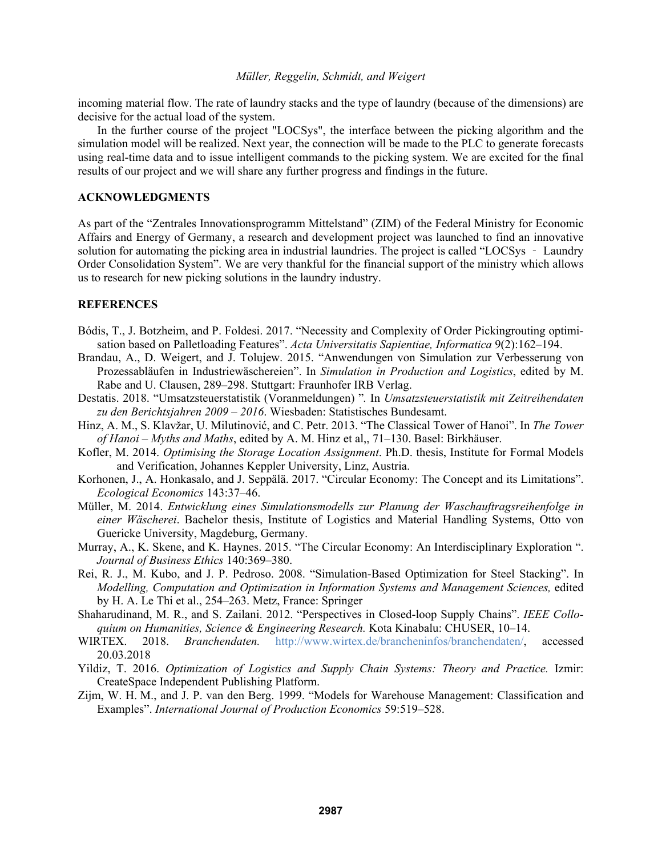incoming material flow. The rate of laundry stacks and the type of laundry (because of the dimensions) are decisive for the actual load of the system.

 In the further course of the project "LOCSys", the interface between the picking algorithm and the simulation model will be realized. Next year, the connection will be made to the PLC to generate forecasts using real-time data and to issue intelligent commands to the picking system. We are excited for the final results of our project and we will share any further progress and findings in the future.

## **ACKNOWLEDGMENTS**

As part of the "Zentrales Innovationsprogramm Mittelstand" (ZIM) of the Federal Ministry for Economic Affairs and Energy of Germany, a research and development project was launched to find an innovative solution for automating the picking area in industrial laundries. The project is called "LOCSys - Laundry" Order Consolidation System". We are very thankful for the financial support of the ministry which allows us to research for new picking solutions in the laundry industry.

#### **REFERENCES**

- Bódis, T., J. Botzheim, and P. Foldesi. 2017. "Necessity and Complexity of Order Pickingrouting optimisation based on Palletloading Features". *Acta Universitatis Sapientiae, Informatica* 9(2):162–194.
- Brandau, A., D. Weigert, and J. Tolujew. 2015. "Anwendungen von Simulation zur Verbesserung von Prozessabläufen in Industriewäschereien". In *Simulation in Production and Logistics*, edited by M. Rabe and U. Clausen, 289–298. Stuttgart: Fraunhofer IRB Verlag.
- Destatis. 2018. "Umsatzsteuerstatistik (Voranmeldungen) "*.* In *Umsatzsteuerstatistik mit Zeitreihendaten zu den Berichtsjahren 2009 – 2016*. Wiesbaden: Statistisches Bundesamt.
- Hinz, A. M., S. Klavžar, U. Milutinović, and C. Petr. 2013. "The Classical Tower of Hanoi". In *The Tower of Hanoi – Myths and Maths*, edited by A. M. Hinz et al,, 71–130. Basel: Birkhäuser.
- Kofler, M. 2014. *Optimising the Storage Location Assignment*. Ph.D. thesis, Institute for Formal Models and Verification, Johannes Keppler University, Linz, Austria.
- Korhonen, J., A. Honkasalo, and J. Seppälä. 2017. "Circular Economy: The Concept and its Limitations". *Ecological Economics* 143:37–46.
- Müller, M. 2014. *Entwicklung eines Simulationsmodells zur Planung der Waschauftragsreihenfolge in einer Wäscherei*. Bachelor thesis, Institute of Logistics and Material Handling Systems, Otto von Guericke University, Magdeburg, Germany.
- Murray, A., K. Skene, and K. Haynes. 2015. "The Circular Economy: An Interdisciplinary Exploration ". *Journal of Business Ethics* 140:369–380.
- Rei, R. J., M. Kubo, and J. P. Pedroso. 2008. "Simulation-Based Optimization for Steel Stacking". In *Modelling, Computation and Optimization in Information Systems and Management Sciences,* edited by H. A. Le Thi et al., 254–263. Metz, France: Springer
- Shaharudinand, M. R., and S. Zailani. 2012. "Perspectives in Closed-loop Supply Chains". *IEEE Colloquium on Humanities, Science & Engineering Research.* Kota Kinabalu: CHUSER, 10–14.
- WIRTEX. 2018. *Branchendaten.* http://www.wirtex.de/brancheninfos/branchendaten/, accessed 20.03.2018
- Yildiz, T. 2016. *Optimization of Logistics and Supply Chain Systems: Theory and Practice.* Izmir: CreateSpace Independent Publishing Platform.
- Zijm, W. H. M., and J. P. van den Berg. 1999. "Models for Warehouse Management: Classification and Examples". *International Journal of Production Economics* 59:519–528.